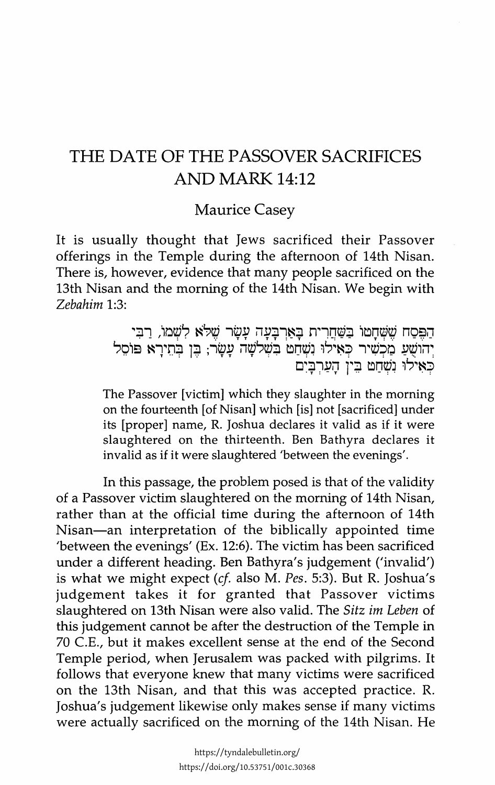## THE DATE OF THE PASSOVER SACRIFICES AND MARK 14:12

Maurice Casey

It is usually thought that Jews sacrificed their Passover offerings in the Temple during the afternoon of 14th Nisan. There is, however, evidence that many people sacrificed on the 13th Nisan and the morning of the 14th Nisan. We begin with *Zebahim* 1:3:

> הַפֵּסַח שֶׁשְּׁחָטוֹ בַּשַּׁחֲרִית בָאַרְבָּעָה עָשָׂר שֵׁלֹּא לִשְׁמוֹ, רַבִּי יְהוֹשֻׁעַ מַכְשִׁיר כְּאִילוּ וִשְׁחַט בִּשְׁלִשָּׁה עָשָׂר; בֶּן בְּחֵירָא פּוֹסֵל<br>כָּאִילוּ וַשַּׁחַט בֵּין הַעַרְבֵּיִם

The Passover [victim] which they slaughter in the morning on the fourteenth [of Nisan] which [is] not [sacrificed] under its [proper] name, R. Joshua declares it valid as if it were slaughtered on the thirteenth. Ben Bathyra declares it invalid as if it were slaughtered 'between the evenings'.

In this passage, the problem posed is that of the validity of a Passover victim slaughtered on the morning of 14th Nisan, rather than at the official time during the afternoon of 14th Nisan-an interpretation of the biblically appointed time 'between the evenings' (Ex. 12:6). The victim has been sacrificed under a different heading. Ben Bathyra's judgement ('invalid') is what we might expect *(cf* also M. *Pes.* 5:3). But R. Joshua's judgement takes it for granted that Passover victims slaughtered on 13th Nisan were also valid. The *Sitz im Leben* of this judgement cannot be after the destruction of the Temple in 70 C.E., but it makes excellent sense at the end of the Second Temple period, when Jerusalem was packed with pilgrims. It follows that everyone knew that many victims were sacrificed on the 13th Nisan, and that this was accepted practice. R. Joshua's judgement likewise only makes sense if many victims were actually sacrificed on the morning of the 14th Nisan. He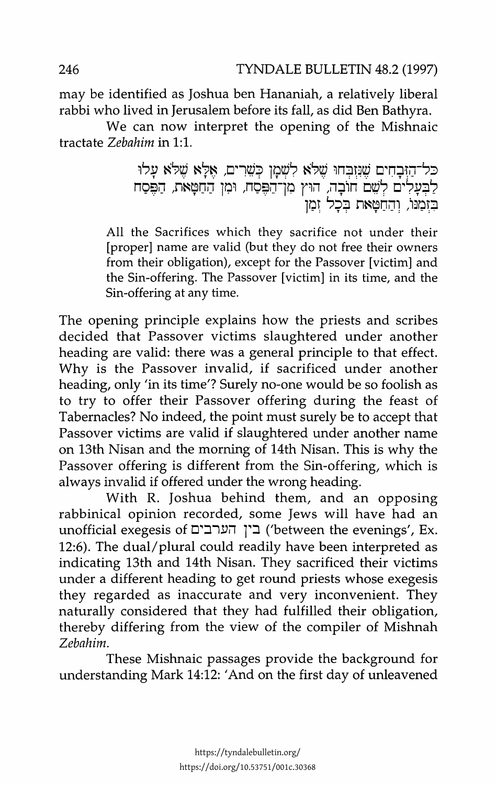may be identified as Joshua ben Hananiah, a relatively liberal rabbi who lived in Jerusalem before its fall, as did Ben Bathyra.

We can now interpret the opening of the Mishnaic tractate *Zebahim* in 1:1.

> כל־הזבחים שנזבחו שלא לשמן כשרים, אלא שלא עלו לבעלים לשם חובה, הוץ מו־הפסח, ומן החטאת, הפסח בזמנו, והחטאת בכל זמו

All the Sacrifices which they sacrifice not under their [proper] name are valid (but they do not free their owners from their obligation), except for the Passover [victim] and the Sin-offering. The Passover [victim] in its time, and the Sin-offering at any time.

The opening principle explains how the priests and scribes decided that Passover victims slaughtered under another heading are valid: there was a general principle to that effect. Why is the Passover invalid, if sacrificed under another heading, only 'in its time'? Surely no-one would be so foolish as to try to offer their Passover offering during the feast of Tabernacles? No indeed, the point must surely be to accept that Passover victims are valid if slaughtered under another name on 13th Nisan and the morning of 14th Nisan. This is why the Passover offering is different from the Sin-offering, which is always invalid if offered under the wrong heading.

With R. Joshua behind them, and an opposing rabbinical opinion recorded, some Jews will have had an unofficial exegesis of בין הערבים ('between the evenings', Ex. 12:6). The dual/plural could readily have been interpreted as indicating 13th and 14th Nisan. They sacrificed their victims under a different heading to get round priests whose exegesis they regarded as inaccurate and very inconvenient. They naturally considered that they had fulfilled their obligation, thereby differing from the view of the compiler of Mishnah *Zebahim.* 

These Mishnaic passages provide the background for understanding Mark 14:12: 'And on the first day of unleavened